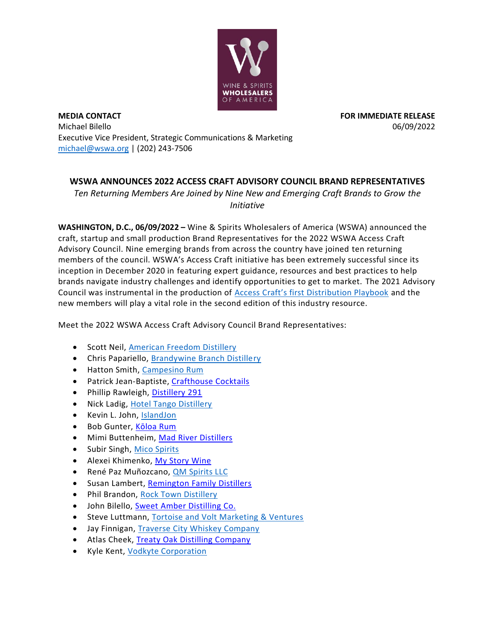

**MEDIA CONTACT FOR IMMEDIATE RELEASE** Michael Bilello 06/09/2022 Executive Vice President, Strategic Communications & Marketing [michael@wswa.org](mailto:michael@wswa.org) | (202) 243-7506

## **WSWA ANNOUNCES 2022 ACCESS CRAFT ADVISORY COUNCIL BRAND REPRESENTATIVES**

*Ten Returning Members Are Joined by Nine New and Emerging Craft Brands to Grow the Initiative*

**WASHINGTON, D.C., 06/09/2022 –** Wine & Spirits Wholesalers of America (WSWA) announced the craft, startup and small production Brand Representatives for the 2022 WSWA Access Craft Advisory Council. Nine emerging brands from across the country have joined ten returning members of the council. WSWA's Access Craft initiative has been extremely successful since its inception in December 2020 in featuring expert guidance, resources and best practices to help brands navigate industry challenges and identify opportunities to get to market. The 2021 Advisory Council was instrumental in the production of [Access Craft's first Distribution Playbook](https://www.wswa.org/news/wswa-access-launches-industrys-first-distribution-playbook) and the new members will play a vital role in the second edition of this industry resource.

Meet the 2022 WSWA Access Craft Advisory Council Brand Representatives:

- Scott Neil, [American Freedom Distillery](https://horsesoldierbourbon.com/)
- Chris Papariello, [Brandywine Branch Distillery](https://www.facebook.com/BrandywineBranchDistillers1/)
- Hatton Smith, [Campesino Rum](https://campesinorum.com/)
- Patrick Jean-Baptiste, [Crafthouse](https://crafthousecocktails.com/) Cocktails
- Phillip Rawleigh, [Distillery](https://distillery291.com/) 291
- Nick Ladig, [Hotel Tango Distillery](https://hoteltangodistillery.com/)
- Kevin L. John, [IslandJon](https://islandjon.com/)
- Bob Gunter, Kōloa [Rum](https://koloarum.com/)
- Mimi Buttenheim, Mad River [Distillers](https://www.madriverdistillers.com/)
- Subir Singh, [Mico Spirits](https://www.micotequila.com/#1)
- Alexei Khimenko, My [Story](http://mystorywine.com/) Wine
- René Paz Muñozcano, [QM Spirits LLC](http://www.qmspirits.com/mezcal-qui-reme-mucho.html)
- Susan Lambert, [Remington](https://mailtrack.io/trace/link/054521783f9aa0fe2bbcbc4fff162f9b9800ee3c?url=http%3A%2F%2Fwww.rfdistillers.com&userId=3953060&signature=4b236ea55d009515) Family Distillers
- Phil Brandon, [Rock Town Distillery](https://www.rocktowndistillery.com/)
- John Bilello, Sweet Amber [Distilling](https://blackenedwhiskey.com/) Co.
- Steve Luttmann, [Tortoise and Volt Marketing & Ventures](https://www.tortoise-and-volt.com/)
- Jay Finnigan, [Traverse City Whiskey Company](https://www.tcwhiskey.com/)
- Atlas Cheek, Treaty Oak Distilling [Company](https://www.treatyoakdistilling.com/)
- Kyle Kent, [Vodkyte Corporation](https://vodkyte.com/)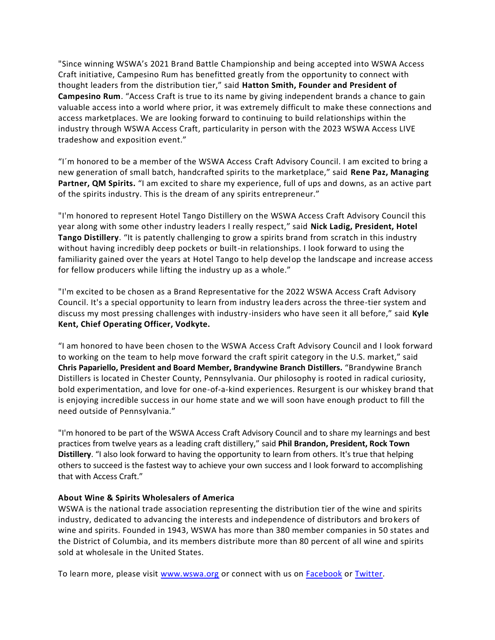"Since winning WSWA's 2021 Brand Battle Championship and being accepted into WSWA Access Craft initiative, Campesino Rum has benefitted greatly from the opportunity to connect with thought leaders from the distribution tier," said **Hatton Smith, Founder and President of Campesino Rum**. "Access Craft is true to its name by giving independent brands a chance to gain valuable access into a world where prior, it was extremely difficult to make these connections and access marketplaces. We are looking forward to continuing to build relationships within the industry through WSWA Access Craft, particularity in person with the 2023 WSWA Access LIVE tradeshow and exposition event."

"I´m honored to be a member of the WSWA Access Craft Advisory Council. I am excited to bring a new generation of small batch, handcrafted spirits to the marketplace," said **Rene Paz, Managing Partner, QM Spirits.** "I am excited to share my experience, full of ups and downs, as an active part of the spirits industry. This is the dream of any spirits entrepreneur."

"I'm honored to represent Hotel Tango Distillery on the WSWA Access Craft Advisory Council this year along with some other industry leaders I really respect," said **Nick Ladig, President, Hotel Tango Distillery**. "It is patently challenging to grow a spirits brand from scratch in this industry without having incredibly deep pockets or built-in relationships. I look forward to using the familiarity gained over the years at Hotel Tango to help develop the landscape and increase access for fellow producers while lifting the industry up as a whole."

"I'm excited to be chosen as a Brand Representative for the 2022 WSWA Access Craft Advisory Council. It's a special opportunity to learn from industry leaders across the three-tier system and discuss my most pressing challenges with industry-insiders who have seen it all before," said **Kyle Kent, Chief Operating Officer, Vodkyte.**

"I am honored to have been chosen to the WSWA Access Craft Advisory Council and I look forward to working on the team to help move forward the craft spirit category in the U.S. market," said **Chris Papariello, President and Board Member, Brandywine Branch Distillers.** "Brandywine Branch Distillers is located in Chester County, Pennsylvania. Our philosophy is rooted in radical curiosity, bold experimentation, and love for one-of-a-kind experiences. Resurgent is our whiskey brand that is enjoying incredible success in our home state and we will soon have enough product to fill the need outside of Pennsylvania."

"I'm honored to be part of the WSWA Access Craft Advisory Council and to share my learnings and best practices from twelve years as a leading craft distillery," said **Phil Brandon, President, Rock Town Distillery**. "I also look forward to having the opportunity to learn from others. It's true that helping others to succeed is the fastest way to achieve your own success and I look forward to accomplishing that with Access Craft."

## **About Wine & Spirits Wholesalers of America**

WSWA is the national trade association representing the distribution tier of the wine and spirits industry, dedicated to advancing the interests and independence of distributors and brokers of wine and spirits. Founded in 1943, WSWA has more than 380 member companies in 50 states and the District of Columbia, and its members distribute more than 80 percent of all wine and spirits sold at wholesale in the United States.

To learn more, please visit [www.wswa.org](http://www.wswa.org/) or connect with us on [Facebook](https://www.facebook.com/wswa/) or [Twitter.](https://twitter.com/WSWAMedia?ref_src=twsrc%5Egoogle%7Ctwcamp%5Eserp%7Ctwgr%5Eauthor)